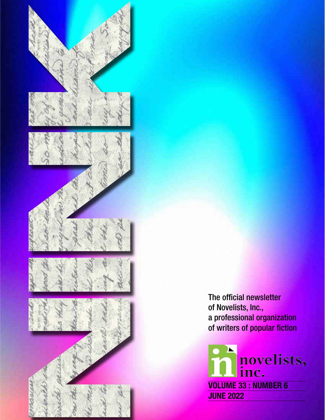

The official newsletter of Novelists, Inc., a professional organization of writers of popular fiction

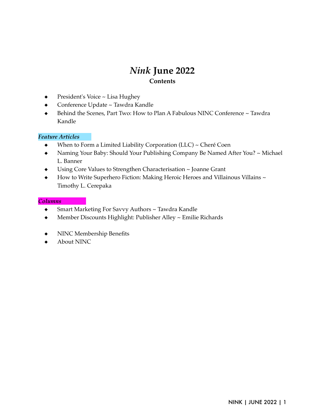# *Nink* **June 2022 Contents**

- President's Voice ~ Lisa Hughey
- Conference Update ~ Tawdra Kandle
- ◆ Behind the Scenes, Part Two: How to Plan A Fabulous NINC Conference ~ Tawdra Kandle

# *Feature Articles*

- ◆ When to Form a Limited Liability Corporation (LLC) ~ Cheré Coen
- ◆ Naming Your Baby: Should Your Publishing Company Be Named After You? ~ Michael L. Banner
- Using Core Values to Strengthen Characterisation ~ Joanne Grant
- ◆ How to Write Superhero Fiction: Making Heroic Heroes and Villainous Villains ~ Timothy L. Cerepaka

#### *Columns*

- ◆ Smart Marketing For Savvy Authors ~ Tawdra Kandle
- Member Discounts Highlight: Publisher Alley ~ Emilie Richards
- NINC Membership Benefits
- ◆ About NINC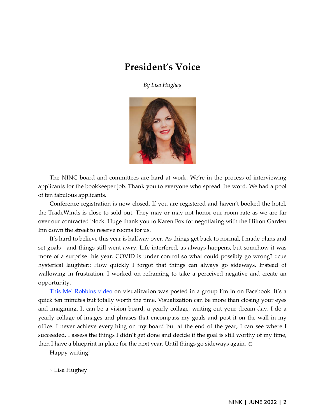# **President's Voice**

*By Lisa Hughey*



The NINC board and committees are hard at work. We're in the process of interviewing applicants for the bookkeeper job. Thank you to everyone who spread the word. We had a pool of ten fabulous applicants.

Conference registration is now closed. If you are registered and haven't booked the hotel, the TradeWinds is close to sold out. They may or may not honor our room rate as we are far over our contracted block. Huge thank you to Karen Fox for negotiating with the Hilton Garden Inn down the street to reserve rooms for us.

It's hard to believe this year is halfway over. As things get back to normal, I made plans and set goals—and things still went awry. Life interfered, as always happens, but somehow it was more of a surprise this year. COVID is under control so what could possibly go wrong? ::cue hysterical laughter:: How quickly I forgot that things can always go sideways. Instead of wallowing in frustration, I worked on reframing to take a perceived negative and create an opportunity.

[This Mel Robbins video](https://www.youtube.com/watch?v=2iPFtZENEq4) on visualization was posted in a group I'm in on Facebook. It's a quick ten minutes but totally worth the time. Visualization can be more than closing your eyes and imagining. It can be a vision board, a yearly collage, writing out your dream day. I do a yearly collage of images and phrases that encompass my goals and post it on the wall in my office. I never achieve everything on my board but at the end of the year, I can see where I succeeded. I assess the things I didn't get done and decide if the goal is still worthy of my time, then I have a blueprint in place for the next year. Until things go sideways again.  $\odot$ 

Happy writing!

~ Lisa Hughey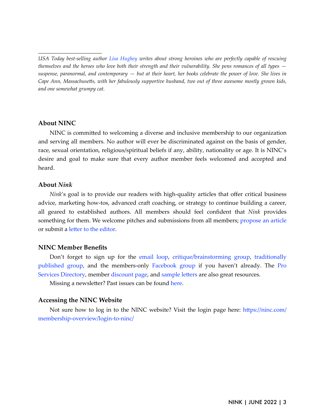#### **About NINC**

*\_\_\_\_\_\_\_\_\_\_\_\_\_\_\_\_\_\_\_\_\_\_\_\_*

NINC is committed to welcoming a diverse and inclusive membership to our organization and serving all members. No author will ever be discriminated against on the basis of gender, race, sexual orientation, religious/spiritual beliefs if any, ability, nationality or age. It is NINC's desire and goal to make sure that every author member feels welcomed and accepted and heard.

#### **About** *Nink*

*Nink*'s goal is to provide our readers with high-quality articles that offer critical business advice, marketing how-tos, advanced craft coaching, or strategy to continue building a career, all geared to established authors. All members should feel confident that *Nink* provides something for them. We welcome pitches and submissions from all members; [propose an article](https://ninc.com/newsletter/propose-an-article/) or submit a letter to the editor.

# **NINC Member Benefits**

Don't forget to sign up for the [email loop,](https://groups.io/g/NINCLINK) [critique/brainstorming group,](https://groups.io/g/NINKcritique/) [traditionally](https://groups.io/g/NINCTradPubbedAuthors) [published group](https://groups.io/g/NINCTradPubbedAuthors), and the members-only [Facebook group](https://www.facebook.com/groups/NovelistsInc/) if you haven't already. The [Pro](https://ninc.com/member-benefits/pro-services-directory/) [Services Directory,](https://ninc.com/member-benefits/pro-services-directory/) member [discount page,](https://ninc.com/member-benefits/member-freebies-discounts/) and sample letters are also great resources.

Missing a newsletter? Past issues can be found [here](https://ninc.com/newsletter/news-archive/).

# **Accessing the NINC Website**

Not sure how to log in to the NINC website? Visit the login page here: https://ninc.com/ [membership-overview/login-to-ninc/](https://ninc.com/membership-overview/login-to-ninc/)

*USA Today best-selling author [Lisa Hughey](https://lisahughey.com/) writes about strong heroines who are perfectly capable of rescuing themselves and the heroes who love both their strength and their vulnerability. She pens romances of all types suspense, paranormal, and contemporary — but at their heart, her books celebrate the power of love. She lives in Cape Ann, Massachusetts, with her fabulously supportive husband, two out of three awesome mostly grown kids, and one somewhat grumpy cat.*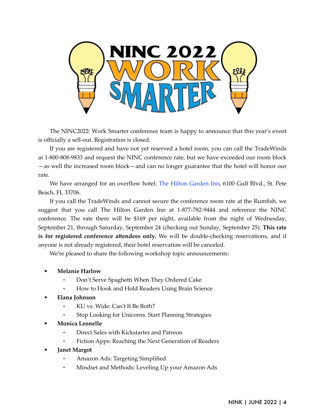

The NINC2022: Work Smarter conference team is happy to announce that this year's event is officially a sell-out. Registration is closed.

If you are registered and have not yet reserved a hotel room, you can call the TradeWinds at 1-800-808-9833 and request the NINC conference rate, but we have exceeded our room block —as well the increased room block—and can no longer guarantee that the hotel will honor our rate.

We have arranged for an overflow hotel: [The Hilton Garden Inn,](https://www.hilton.com/en/hotels/piespgi-hilton-garden-inn-st-pete-beach/) 6100 Gulf Blvd., St. Pete Beach, FL 33706.

If you call the TradeWinds and cannot secure the conference room rate at the Rumfish, we suggest that you call The Hilton Garden Inn at 1-877-782-9444 and reference the NINC conference. The rate there will be \$169 per night, available from the night of Wednesday, September 21, through Saturday, September 24 (checking out Sunday, September 25). **This rate is for registered conference attendees only.** We will be double-checking reservations, and if anyone is not already registered, their hotel reservation will be canceled.

We're pleased to share the following workshop topic announcements:

- **Melanie Harlow**
	- Don't Serve Spaghetti When They Ordered Cake
	- How to Hook and Hold Readers Using Brain Science
- **Elana Johnson**
	- KU vs. Wide: Can't It Be Both?
	- Stop Looking for Unicorns. Start Planning Strategies
- **Monica Leonelle**
	- Direct Sales with Kickstarter and Patreon
	- Fiction Apps: Reaching the Next Generation of Readers
- **Janet Margot**
	- ⁃ Amazon Ads: Targeting Simplified
	- Mindset and Methods: Leveling Up your Amazon Ads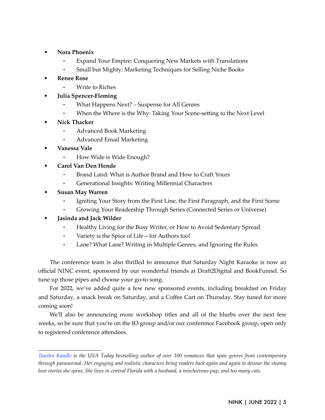- **Nora Phoenix**
	- ⁃ Expand Your Empire: Conquering New Markets with Translations
	- Small but Mighty: Marketing Techniques for Selling Niche Books
- **Renee Rose**
	- Write to Riches
- **Julia Spencer-Fleming**
	- What Happens Next? Suspense for All Genres
	- When the Where is the Why: Taking Your Scene-setting to the Next Level
- **Nick Thacker**
	- ⁃ Advanced Book Marketing
	- ⁃ Advanced Email Marketing
- **Vanessa Vale**
	- How Wide is Wide Enough?
- **Carol Van Den Hende**
	- Brand Land: What is Author Brand and How to Craft Yours
	- ⁃ Generational Insights: Writing Millennial Characters
- **Susan May Warren**

*\_\_\_\_\_\_\_\_\_\_\_\_\_\_\_\_\_\_\_\_\_\_\_\_*

- Igniting Your Story from the First Line, the First Paragraph, and the First Scene
- ⁃ Growing Your Readership Through Series (Connected Series or Universe)
- **Jasinda and Jack Wilder**
	- Healthy Living for the Busy Writer, or How to Avoid Sedentary Spread
	- Variety is the Spice of Life—for Authors too!
	- ⁃ Lane? What Lane? Writing in Multiple Genres, and Ignoring the Rules

The conference team is also thrilled to announce that Saturday Night Karaoke is now an official NINC event, sponsored by our wonderful friends at Draft2Digital and BookFunnel. So tune up those pipes and choose your go-to song.

For 2022, we've added quite a few new sponsored events, including breakfast on Friday and Saturday, a snack break on Saturday, and a Coffee Cart on Thursday. Stay tuned for more coming soon!

We'll also be announcing more workshop titles and all of the blurbs over the next few weeks, so be sure that you're on the IO group and/or our conference Facebook group, open only to registered conference attendees.

*[Tawdra Kandle](http://tawdrakandle.com/) is the USA Today bestselling author of over 100 romances that span genres from contemporary through paranormal. Her engaging and realistic characters bring readers back again and again to devour the steamy love stories she spins. She lives in central Florida with a husband, a mischievous pup, and too many cats.*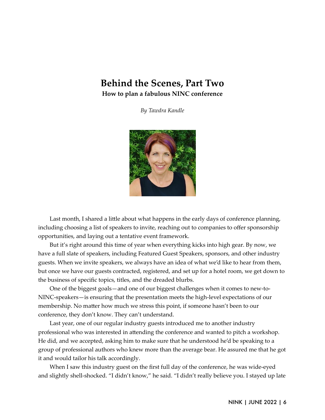# **Behind the Scenes, Part Two How to plan a fabulous NINC conference**

*By Tawdra Kandle*



Last month, I shared a little about what happens in the early days of conference planning, including choosing a list of speakers to invite, reaching out to companies to offer sponsorship opportunities, and laying out a tentative event framework.

But it's right around this time of year when everything kicks into high gear. By now, we have a full slate of speakers, including Featured Guest Speakers, sponsors, and other industry guests. When we invite speakers, we always have an idea of what we'd like to hear from them, but once we have our guests contracted, registered, and set up for a hotel room, we get down to the business of specific topics, titles, and the dreaded blurbs.

One of the biggest goals—and one of our biggest challenges when it comes to new-to-NINC-speakers—is ensuring that the presentation meets the high-level expectations of our membership. No matter how much we stress this point, if someone hasn't been to our conference, they don't know. They can't understand.

Last year, one of our regular industry guests introduced me to another industry professional who was interested in attending the conference and wanted to pitch a workshop. He did, and we accepted, asking him to make sure that he understood he'd be speaking to a group of professional authors who knew more than the average bear. He assured me that he got it and would tailor his talk accordingly.

When I saw this industry guest on the first full day of the conference, he was wide-eyed and slightly shell-shocked. "I didn't know," he said. "I didn't really believe you. I stayed up late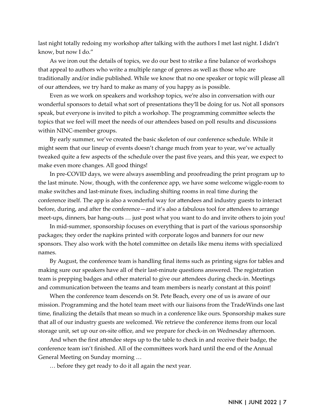last night totally redoing my workshop after talking with the authors I met last night. I didn't know, but now I do."

As we iron out the details of topics, we do our best to strike a fine balance of workshops that appeal to authors who write a multiple range of genres as well as those who are traditionally and/or indie published. While we know that no one speaker or topic will please all of our attendees, we try hard to make as many of you happy as is possible.

Even as we work on speakers and workshop topics, we're also in conversation with our wonderful sponsors to detail what sort of presentations they'll be doing for us. Not all sponsors speak, but everyone is invited to pitch a workshop. The programming committee selects the topics that we feel will meet the needs of our attendees based on poll results and discussions within NINC-member groups.

By early summer, we've created the basic skeleton of our conference schedule. While it might seem that our lineup of events doesn't change much from year to year, we've actually tweaked quite a few aspects of the schedule over the past five years, and this year, we expect to make even more changes. All good things!

In pre-COVID days, we were always assembling and proofreading the print program up to the last minute. Now, though, with the conference app, we have some welcome wiggle-room to make switches and last-minute fixes, including shifting rooms in real time during the conference itself. The app is also a wonderful way for attendees and industry guests to interact before, during, and after the conference—and it's also a fabulous tool for attendees to arrange meet-ups, dinners, bar hang-outs … just post what you want to do and invite others to join you!

In mid-summer, sponsorship focuses on everything that is part of the various sponsorship packages; they order the napkins printed with corporate logos and banners for our new sponsors. They also work with the hotel committee on details like menu items with specialized names.

By August, the conference team is handling final items such as printing signs for tables and making sure our speakers have all of their last-minute questions answered. The registration team is prepping badges and other material to give our attendees during check-in. Meetings and communication between the teams and team members is nearly constant at this point!

When the conference team descends on St. Pete Beach, every one of us is aware of our mission. Programming and the hotel team meet with our liaisons from the TradeWinds one last time, finalizing the details that mean so much in a conference like ours. Sponsorship makes sure that all of our industry guests are welcomed. We retrieve the conference items from our local storage unit, set up our on-site office, and we prepare for check-in on Wednesday afternoon.

And when the first attendee steps up to the table to check in and receive their badge, the conference team isn't finished. All of the committees work hard until the end of the Annual General Meeting on Sunday morning …

… before they get ready to do it all again the next year.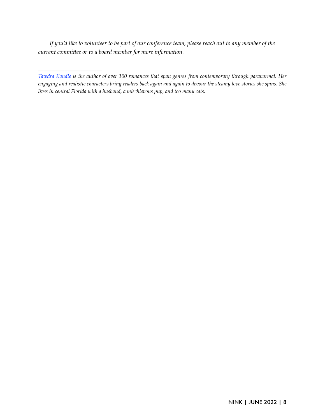*If you'd like to volunteer to be part of our conference team, please reach out to any member of the current committee or to a board member for more information.* 

*\_\_\_\_\_\_\_\_\_\_\_\_\_\_\_\_\_\_\_\_\_\_\_\_*

*[Tawdra Kandle](http://tawdrakandle.com/) is the author of over 100 romances that span genres from contemporary through paranormal. Her engaging and realistic characters bring readers back again and again to devour the steamy love stories she spins. She lives in central Florida with a husband, a mischievous pup, and too many cats.*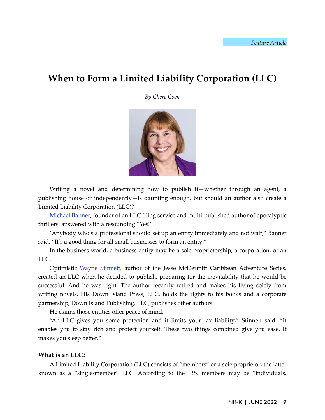# **When to Form a Limited Liability Corporation (LLC)**

*By Cheré Coen*



Writing a novel and determining how to publish it—whether through an agent, a publishing house or independently—is daunting enough, but should an author also create a Limited Liability Corporation (LLC)?

[Michael Banner,](https://www.mlbanner.com/) founder of an LLC filing service and multi-published author of apocalyptic thrillers, answered with a resounding "Yes!"

"Anybody who's a professional should set up an entity immediately and not wait," Banner said. "It's a good thing for all small businesses to form an entity."

In the business world, a business entity may be a sole proprietorship, a corporation, or an LLC.

Optimistic Wayne Stinnett, author of the Jesse McDermitt Caribbean Adventure Series, created an LLC when he decided to publish, preparing for the inevitability that he would be successful. And he was right. The author recently retired and makes his living solely from writing novels. His Down Island Press, LLC, holds the rights to his books and a corporate partnership, Down Island Publishing, LLC, publishes other authors.

He claims those entities offer peace of mind.

"An LLC gives you some protection and it limits your tax liability," Stinnett said. "It enables you to stay rich and protect yourself. These two things combined give you ease. It makes you sleep better."

#### **What is an LLC?**

A Limited Liability Corporation (LLC) consists of "members" or a sole proprietor, the latter known as a "single-member" LLC. According to the IRS, members may be "individuals,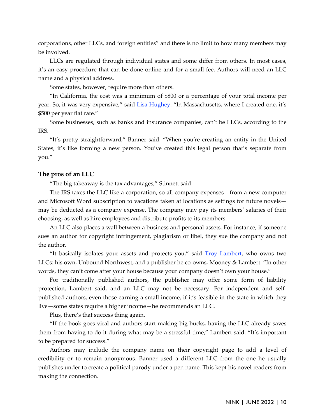corporations, other LLCs, and foreign entities" and there is no limit to how many members may be involved.

LLCs are regulated through individual states and some differ from others. In most cases, it's an easy procedure that can be done online and for a small fee. Authors will need an LLC name and a physical address.

Some states, however, require more than others.

"In California, the cost was a minimum of \$800 or a percentage of your total income per year. So, it was very expensive," said [Lisa Hughey.](https://lisahughey.com/) "In Massachusetts, where I created one, it's \$500 per year flat rate."

Some businesses, such as banks and insurance companies, can't be LLCs, according to the IRS.

"It's pretty straightforward," Banner said. "When you're creating an entity in the United States, it's like forming a new person. You've created this legal person that's separate from you."

#### **The pros of an LLC**

"The big takeaway is the tax advantages," Stinnett said.

The IRS taxes the LLC like a corporation, so all company expenses—from a new computer and Microsoft Word subscription to vacations taken at locations as settings for future novels may be deducted as a company expense. The company may pay its members' salaries of their choosing, as well as hire employees and distribute profits to its members.

An LLC also places a wall between a business and personal assets. For instance, if someone sues an author for copyright infringement, plagiarism or libel, they sue the company and not the author.

"It basically isolates your assets and protects you," said [Troy Lambert,](https://troylambertwrites.com/) who owns two LLCs: his own, Unbound Northwest, and a publisher he co-owns, Mooney & Lambert. "In other words, they can't come after your house because your company doesn't own your house."

For traditionally published authors, the publisher may offer some form of liability protection, Lambert said, and an LLC may not be necessary. For independent and selfpublished authors, even those earning a small income, if it's feasible in the state in which they live—some states require a higher income—he recommends an LLC.

Plus, there's that success thing again.

"If the book goes viral and authors start making big bucks, having the LLC already saves them from having to do it during what may be a stressful time," Lambert said. "It's important to be prepared for success."

Authors may include the company name on their copyright page to add a level of credibility or to remain anonymous. Banner used a different LLC from the one he usually publishes under to create a political parody under a pen name. This kept his novel readers from making the connection.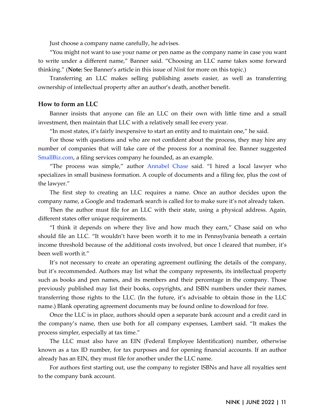Just choose a company name carefully, he advises.

"You might not want to use your name or pen name as the company name in case you want to write under a different name," Banner said. "Choosing an LLC name takes some forward thinking." (**Note:** See Banner's article in this issue of *Nink* for more on this topic.)

Transferring an LLC makes selling publishing assets easier, as well as transferring ownership of intellectual property after an author's death, another benefit.

#### **How to form an LLC**

Banner insists that anyone can file an LLC on their own with little time and a small investment, then maintain that LLC with a relatively small fee every year.

"In most states, it's fairly inexpensive to start an entity and to maintain one," he said.

For those with questions and who are not confident about the process, they may hire any number of companies that will take care of the process for a nominal fee. Banner suggested [SmallBiz.com](https://smallbiz.com/), a filing services company he founded, as an example.

"The process was simple," author [Annabel Chase](https://annabelchase.com/) said. "I hired a local lawyer who specializes in small business formation. A couple of documents and a filing fee, plus the cost of the lawyer."

The first step to creating an LLC requires a name. Once an author decides upon the company name, a Google and trademark search is called for to make sure it's not already taken.

Then the author must file for an LLC with their state, using a physical address. Again, different states offer unique requirements.

"I think it depends on where they live and how much they earn," Chase said on who should file an LLC. "It wouldn't have been worth it to me in Pennsylvania beneath a certain income threshold because of the additional costs involved, but once I cleared that number, it's been well worth it."

It's not necessary to create an operating agreement outlining the details of the company, but it's recommended. Authors may list what the company represents, its intellectual property such as books and pen names, and its members and their percentage in the company. Those previously published may list their books, copyrights, and ISBN numbers under their names, transferring those rights to the LLC. (In the future, it's advisable to obtain those in the LLC name.) Blank operating agreement documents may be found online to download for free.

Once the LLC is in place, authors should open a separate bank account and a credit card in the company's name, then use both for all company expenses, Lambert said. "It makes the process simpler, especially at tax time."

The LLC must also have an EIN (Federal Employee Identification) number, otherwise known as a tax ID number, for tax purposes and for opening financial accounts. If an author already has an EIN, they must file for another under the LLC name.

For authors first starting out, use the company to register ISBNs and have all royalties sent to the company bank account.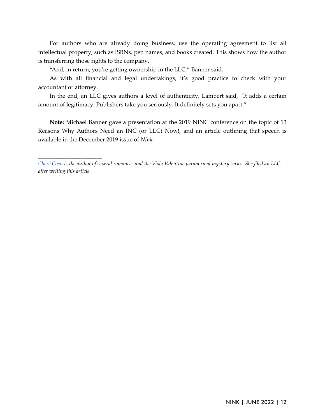For authors who are already doing business, use the operating agreement to list all intellectual property, such as ISBNs, pen names, and books created. This shows how the author is transferring those rights to the company.

"And, in return, you're getting ownership in the LLC," Banner said.

*\_\_\_\_\_\_\_\_\_\_\_\_\_\_\_\_\_\_\_\_\_\_\_\_*

As with all financial and legal undertakings, it's good practice to check with your accountant or attorney.

In the end, an LLC gives authors a level of authenticity, Lambert said, "It adds a certain amount of legitimacy. Publishers take you seriously. It definitely sets you apart."

**Note:** Michael Banner gave a presentation at the 2019 NINC conference on the topic of 13 Reasons Why Authors Need an INC (or LLC) Now!, and an article outlining that speech is available in the December 2019 issue of *Nink*.

*[Cheré Coen](https://cherecoen.wixsite.com/cherecoen) is the author of several romances and the Viola Valentine paranormal mystery series. She filed an LLC after writing this article.*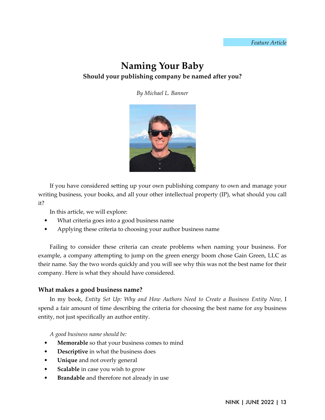# **Naming Your Baby Should your publishing company be named after you?**

*By Michael L. Banner*



If you have considered setting up your own publishing company to own and manage your writing business, your books, and all your other intellectual property (IP), what should you call it?

In this article, we will explore:

- What criteria goes into a good business name
- Applying these criteria to choosing your author business name

Failing to consider these criteria can create problems when naming your business. For example, a company attempting to jump on the green energy boom chose Gain Green, LLC as their name. Say the two words quickly and you will see why this was not the best name for their company. Here is what they should have considered.

# **What makes a good business name?**

In my book, *Entity Set Up: Why and How Authors Need to Create a Business Entity Now*, I spend a fair amount of time describing the criteria for choosing the best name for *any* business entity, not just specifically an author entity.

*A good business name should be:*

- Memorable so that your business comes to mind
- **Descriptive** in what the business does
- **Unique** and not overly general
- **Scalable** in case you wish to grow
- **Brandable** and therefore not already in use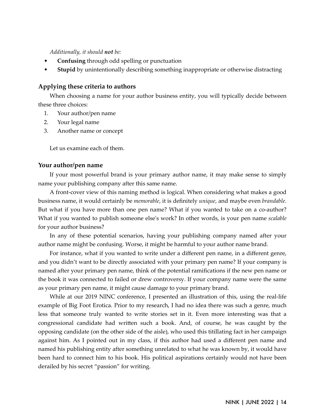*Additionally, it should not be:*

- **Confusing** through odd spelling or punctuation
- **Stupid** by unintentionally describing something inappropriate or otherwise distracting

#### **Applying these criteria to authors**

When choosing a name for your author business entity, you will typically decide between these three choices:

- 1. Your author/pen name
- 2. Your legal name
- 3. Another name or concept

Let us examine each of them.

#### **Your author/pen name**

If your most powerful brand is your primary author name, it may make sense to simply name your publishing company after this same name.

A front-cover view of this naming method is logical. When considering what makes a good business name, it would certainly be *memorable*, it is definitely *unique*, and maybe even *brandable.* But what if you have more than one pen name? What if you wanted to take on a co-author? What if you wanted to publish someone else's work? In other words, is your pen name *scalable* for your author business?

In any of these potential scenarios, having your publishing company named after your author name might be confusing. Worse, it might be harmful to your author name brand.

For instance, what if you wanted to write under a different pen name, in a different genre, and you didn't want to be directly associated with your primary pen name? If your company is named after your primary pen name, think of the potential ramifications if the new pen name or the book it was connected to failed or drew controversy. If your company name were the same as your primary pen name, it might cause damage to your primary brand.

While at our 2019 NINC conference, I presented an illustration of this, using the real-life example of Big Foot Erotica. Prior to my research, I had no idea there was such a genre, much less that someone truly wanted to write stories set in it. Even more interesting was that a congressional candidate had written such a book. And, of course, he was caught by the opposing candidate (on the other side of the aisle), who used this titillating fact in her campaign against him. As I pointed out in my class, if this author had used a different pen name and named his publishing entity after something unrelated to what he was known by, it would have been hard to connect him to his book. His political aspirations certainly would not have been derailed by his secret "passion" for writing.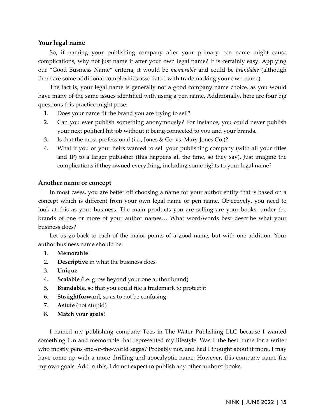#### **Your legal name**

So, if naming your publishing company after your primary pen name might cause complications, why not just name it after your own legal name? It is certainly easy. Applying our "Good Business Name" criteria, it would be *memorable* and could be *brandable* (although there are some additional complexities associated with trademarking your own name).

The fact is, your legal name is generally not a good company name choice, as you would have many of the same issues identified with using a pen name. Additionally, here are four big questions this practice might pose:

- 1. Does your name fit the brand you are trying to sell?
- 2. Can you ever publish something anonymously? For instance, you could never publish your next political hit job without it being connected to you and your brands.
- 3. Is that the most professional (i.e., Jones & Co. vs. Mary Jones Co.)?
- 4. What if you or your heirs wanted to sell your publishing company (with all your titles and IP) to a larger publisher (this happens all the time, so they say). Just imagine the complications if they owned everything, including some rights to your legal name?

#### **Another name or concept**

In most cases, you are better off choosing a name for your author entity that is based on a concept which is different from your own legal name or pen name. Objectively, you need to look at this as your business. The main products you are selling are your books, under the brands of one or more of your author names… What word/words best describe what your business does?

Let us go back to each of the major points of a good name, but with one addition. Your author business name should be:

- 1. **Memorable**
- 2. **Descriptive** in what the business does
- 3. **Unique**
- 4. **Scalable** (i.e. grow beyond your one author brand)
- 5. **Brandable**, so that you could file a trademark to protect it
- 6. **Straightforward**, so as to not be confusing
- 7. **Astute** (not stupid)
- 8. **Match your goals!**

I named my publishing company Toes in The Water Publishing LLC because I wanted something fun and memorable that represented my lifestyle. Was it the best name for a writer who mostly pens end-of-the-world sagas? Probably not, and had I thought about it more, I may have come up with a more thrilling and apocalyptic name. However, this company name fits my own goals. Add to this, I do not expect to publish any other authors' books.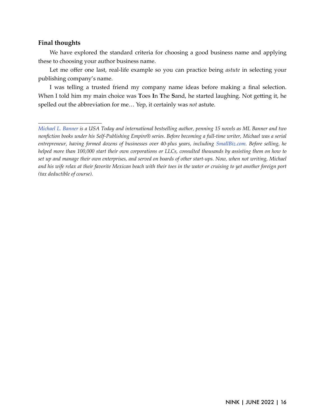#### **Final thoughts**

*\_\_\_\_\_\_\_\_\_\_\_\_\_\_\_\_\_\_\_\_\_\_\_\_*

We have explored the standard criteria for choosing a good business name and applying these to choosing your author business name.

Let me offer one last, real-life example so you can practice being *astute* in selecting your publishing company's name.

I was telling a trusted friend my company name ideas before making a final selection. When I told him my main choice was Toes In The Sand, he started laughing. Not getting it, he spelled out the abbreviation for me… Yep, it certainly was *not* astute.

*[Michael L. Banner](https://www.mlbanner.com/) is a USA Today and international bestselling author, penning 15 novels as ML Banner and two nonfiction books under his Self-Publishing Empire® series. Before becoming a full-time writer, Michael was a serial entrepreneur, having formed dozens of businesses over 40-plus years, including [SmallBiz.com.](https://smallbiz.com/) Before selling, he helped more than 100,000 start their own corporations or LLCs, consulted thousands by assisting them on how to set up and manage their own enterprises, and served on boards of other start-ups. Now, when not writing, Michael and his wife relax at their favorite Mexican beach with their toes in the water or cruising to yet another foreign port (tax deductible of course).*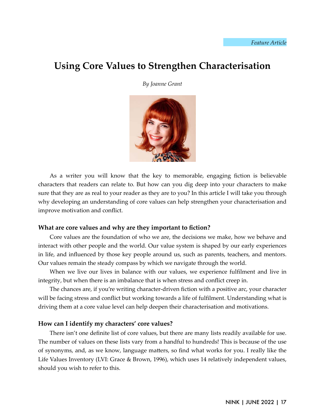# **Using Core Values to Strengthen Characterisation**

*By Joanne Grant*



As a writer you will know that the key to memorable, engaging fiction is believable characters that readers can relate to. But how can you dig deep into your characters to make sure that they are as real to your reader as they are to you? In this article I will take you through why developing an understanding of core values can help strengthen your characterisation and improve motivation and conflict.

#### **What are core values and why are they important to fiction?**

Core values are the foundation of who we are, the decisions we make, how we behave and interact with other people and the world. Our value system is shaped by our early experiences in life, and influenced by those key people around us, such as parents, teachers, and mentors. Our values remain the steady compass by which we navigate through the world.

When we live our lives in balance with our values, we experience fulfilment and live in integrity, but when there is an imbalance that is when stress and conflict creep in.

The chances are, if you're writing character-driven fiction with a positive arc, your character will be facing stress and conflict but working towards a life of fulfilment. Understanding what is driving them at a core value level can help deepen their characterisation and motivations.

#### **How can I identify my characters' core values?**

There isn't one definite list of core values, but there are many lists readily available for use. The number of values on these lists vary from a handful to hundreds! This is because of the use of synonyms, and, as we know, language ma1ers, so find what works for you. I really like the Life Values Inventory (LVI: Grace & Brown, 1996), which uses 14 relatively independent values, should you wish to refer to this.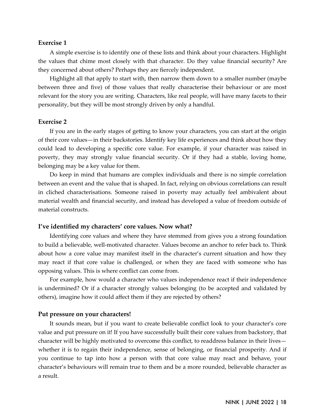#### **Exercise 1**

A simple exercise is to identify one of these lists and think about your characters. Highlight the values that chime most closely with that character. Do they value financial security? Are they concerned about others? Perhaps they are fiercely independent.

Highlight all that apply to start with, then narrow them down to a smaller number (maybe between three and five) of those values that really characterise their behaviour or are most relevant for the story you are writing. Characters, like real people, will have many facets to their personality, but they will be most strongly driven by only a handful.

#### **Exercise 2**

If you are in the early stages of getting to know your characters, you can start at the origin of their core values—in their backstories. Identify key life experiences and think about how they could lead to developing a specific core value. For example, if your character was raised in poverty, they may strongly value financial security. Or if they had a stable, loving home, belonging may be a key value for them.

Do keep in mind that humans are complex individuals and there is no simple correlation between an event and the value that is shaped. In fact, relying on obvious correlations can result in cliched characterisations. Someone raised in poverty may actually feel ambivalent about material wealth and financial security, and instead has developed a value of freedom outside of material constructs.

#### **I've identified my characters' core values. Now what?**

Identifying core values and where they have stemmed from gives you a strong foundation to build a believable, well-motivated character. Values become an anchor to refer back to. Think about how a core value may manifest itself in the character's current situation and how they may react if that core value is challenged, or when they are faced with someone who has opposing values. This is where conflict can come from.

For example, how would a character who values independence react if their independence is undermined? Or if a character strongly values belonging (to be accepted and validated by others), imagine how it could affect them if they are rejected by others?

#### **Put pressure on your characters!**

It sounds mean, but if you want to create believable conflict look to your character's core value and put pressure on it! If you have successfully built their core values from backstory, that character will be highly motivated to overcome this conflict, to readdress balance in their lives whether it is to regain their independence, sense of belonging, or financial prosperity. And if you continue to tap into how a person with that core value may react and behave, your character's behaviours will remain true to them and be a more rounded, believable character as a result.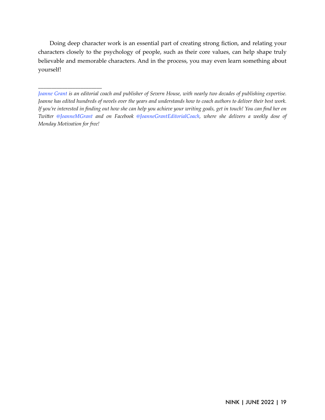Doing deep character work is an essential part of creating strong fiction, and relating your characters closely to the psychology of people, such as their core values, can help shape truly believable and memorable characters. And in the process, you may even learn something about yourself!

*\_\_\_\_\_\_\_\_\_\_\_\_\_\_\_\_\_\_\_\_\_\_\_\_*

*[Joanne Grant](https://www.joannemgrant.com/) is an editorial coach and publisher of Severn House, with nearly two decades of publishing expertise. Joanne has edited hundreds of novels over the years and understands how to coach authors to deliver their best work. If you're interested in finding out how she can help you achieve your writing goals, get in touch! You can find her on TwiFer [@JoanneMGrant](https://twitter.com/JoanneMGrant) and on Facebook [@JoanneGrantEditorialCoach,](https://www.facebook.com/JoanneGrantEditorialCoach) where she delivers a weekly dose of Monday Motivation for free!*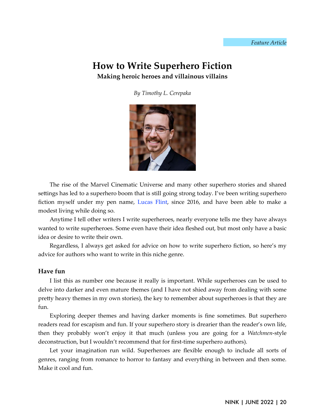# **How to Write Superhero Fiction Making heroic heroes and villainous villains**

*By Timothy L. Cerepaka*



The rise of the Marvel Cinematic Universe and many other superhero stories and shared settings has led to a superhero boom that is still going strong today. I've been writing superhero fiction myself under my pen name, [Lucas Flint](https://www.lucasflint.com/), since 2016, and have been able to make a modest living while doing so.

Anytime I tell other writers I write superheroes, nearly everyone tells me they have always wanted to write superheroes. Some even have their idea fleshed out, but most only have a basic idea or desire to write their own.

Regardless, I always get asked for advice on how to write superhero fiction, so here's my advice for authors who want to write in this niche genre.

# **Have fun**

I list this as number one because it really is important. While superheroes can be used to delve into darker and even mature themes (and I have not shied away from dealing with some pretty heavy themes in my own stories), the key to remember about superheroes is that they are fun.

Exploring deeper themes and having darker moments is fine sometimes. But superhero readers read for escapism and fun. If your superhero story is drearier than the reader's own life, then they probably won't enjoy it that much (unless you are going for a *Watchmen*-style deconstruction, but I wouldn't recommend that for first-time superhero authors).

Let your imagination run wild. Superheroes are flexible enough to include all sorts of genres, ranging from romance to horror to fantasy and everything in between and then some. Make it cool and fun.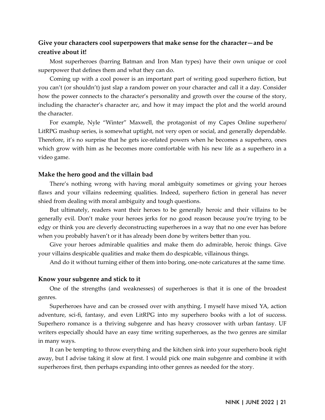# **Give your characters cool superpowers that make sense for the character—and be creative about it!**

Most superheroes (barring Batman and Iron Man types) have their own unique or cool superpower that defines them and what they can do.

Coming up with a cool power is an important part of writing good superhero fiction, but you can't (or shouldn't) just slap a random power on your character and call it a day. Consider how the power connects to the character's personality and growth over the course of the story, including the character's character arc, and how it may impact the plot and the world around the character.

For example, Nyle "Winter" Maxwell, the protagonist of my Capes Online superhero/ LitRPG mashup series, is somewhat uptight, not very open or social, and generally dependable. Therefore, it's no surprise that he gets ice-related powers when he becomes a superhero, ones which grow with him as he becomes more comfortable with his new life as a superhero in a video game.

#### **Make the hero good and the villain bad**

There's nothing wrong with having moral ambiguity sometimes or giving your heroes flaws and your villains redeeming qualities. Indeed, superhero fiction in general has never shied from dealing with moral ambiguity and tough questions.

But ultimately, readers want their heroes to be generally heroic and their villains to be generally evil. Don't make your heroes jerks for no good reason because you're trying to be edgy or think you are cleverly deconstructing superheroes in a way that no one ever has before when you probably haven't or it has already been done by writers better than you.

Give your heroes admirable qualities and make them do admirable, heroic things. Give your villains despicable qualities and make them do despicable, villainous things.

And do it without turning either of them into boring, one-note caricatures at the same time.

#### **Know your subgenre and stick to it**

One of the strengths (and weaknesses) of superheroes is that it is one of the broadest genres.

Superheroes have and can be crossed over with anything. I myself have mixed YA, action adventure, sci-fi, fantasy, and even LitRPG into my superhero books with a lot of success. Superhero romance is a thriving subgenre and has heavy crossover with urban fantasy. UF writers especially should have an easy time writing superheroes, as the two genres are similar in many ways.

It can be tempting to throw everything and the kitchen sink into your superhero book right away, but I advise taking it slow at first. I would pick one main subgenre and combine it with superheroes first, then perhaps expanding into other genres as needed for the story.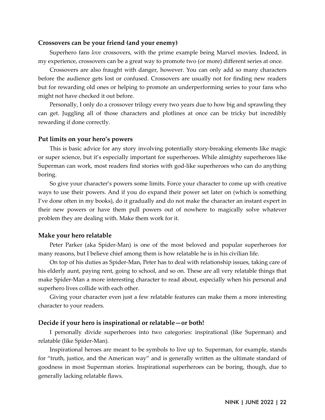#### **Crossovers can be your friend (and your enemy)**

Superhero fans *love* crossovers, with the prime example being Marvel movies. Indeed, in my experience, crossovers can be a great way to promote two (or more) different series at once.

Crossovers are also fraught with danger, however. You can only add so many characters before the audience gets lost or confused. Crossovers are usually not for finding new readers but for rewarding old ones or helping to promote an underperforming series to your fans who might not have checked it out before.

Personally, I only do a crossover trilogy every two years due to how big and sprawling they can get. Juggling all of those characters and plotlines at once can be tricky but incredibly rewarding if done correctly.

#### **Put limits on your hero's powers**

This is basic advice for any story involving potentially story-breaking elements like magic or super science, but it's especially important for superheroes. While almighty superheroes like Superman can work, most readers find stories with god-like superheroes who can do anything boring.

So give your character's powers some limits. Force your character to come up with creative ways to use their powers. And if you do expand their power set later on (which is something I've done often in my books), do it gradually and do not make the character an instant expert in their new powers or have them pull powers out of nowhere to magically solve whatever problem they are dealing with. Make them work for it.

#### **Make your hero relatable**

Peter Parker (aka Spider-Man) is one of the most beloved and popular superheroes for many reasons, but I believe chief among them is how relatable he is in his civilian life.

On top of his duties as Spider-Man, Peter has to deal with relationship issues, taking care of his elderly aunt, paying rent, going to school, and so on. These are all very relatable things that make Spider-Man a more interesting character to read about, especially when his personal and superhero lives collide with each other.

Giving your character even just a few relatable features can make them a more interesting character to your readers.

#### **Decide if your hero is inspirational or relatable—or both!**

I personally divide superheroes into two categories: inspirational (like Superman) and relatable (like Spider-Man).

Inspirational heroes are meant to be symbols to live up to. Superman, for example, stands for "truth, justice, and the American way" and is generally written as the ultimate standard of goodness in most Superman stories. Inspirational superheroes can be boring, though, due to generally lacking relatable flaws.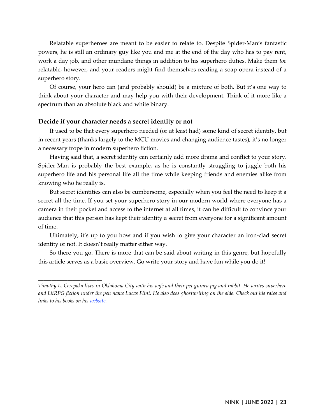Relatable superheroes are meant to be easier to relate to. Despite Spider-Man's fantastic powers, he is still an ordinary guy like you and me at the end of the day who has to pay rent, work a day job, and other mundane things in addition to his superhero duties. Make them *too* relatable, however, and your readers might find themselves reading a soap opera instead of a superhero story.

Of course, your hero can (and probably should) be a mixture of both. But it's one way to think about your character and may help you with their development. Think of it more like a spectrum than an absolute black and white binary.

#### **Decide if your character needs a secret identity or not**

*\_\_\_\_\_\_\_\_\_\_\_\_\_\_\_\_\_\_\_\_\_\_\_\_*

It used to be that every superhero needed (or at least had) some kind of secret identity, but in recent years (thanks largely to the MCU movies and changing audience tastes), it's no longer a necessary trope in modern superhero fiction.

Having said that, a secret identity can certainly add more drama and conflict to your story. Spider-Man is probably the best example, as he is constantly struggling to juggle both his superhero life and his personal life all the time while keeping friends and enemies alike from knowing who he really is.

But secret identities can also be cumbersome, especially when you feel the need to keep it a secret all the time. If you set your superhero story in our modern world where everyone has a camera in their pocket and access to the internet at all times, it can be difficult to convince your audience that this person has kept their identity a secret from everyone for a significant amount of time.

Ultimately, it's up to you how and if you wish to give your character an iron-clad secret identity or not. It doesn't really matter either way.

So there you go. There is more that can be said about writing in this genre, but hopefully this article serves as a basic overview. Go write your story and have fun while you do it!

*Timothy L. Cerepaka lives in Oklahoma City with his wife and their pet guinea pig and rabbit. He writes superhero and LitRPG fiction under the pen name Lucas Flint. He also does ghostwriting on the side. Check out his rates and links to his books on his [website.](https://timothylcerepaka.com/)*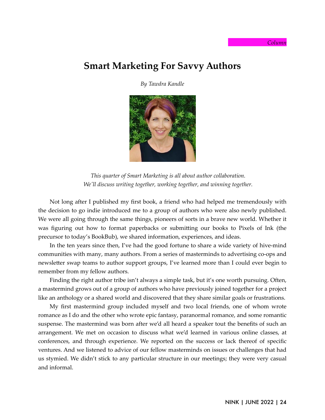#### *Column*

# **Smart Marketing For Savvy Authors**

*By Tawdra Kandle*



*This quarter of Smart Marketing is all about author collaboration. We'll discuss writing together, working together, and winning together.*

Not long after I published my first book, a friend who had helped me tremendously with the decision to go indie introduced me to a group of authors who were also newly published. We were all going through the same things, pioneers of sorts in a brave new world. Whether it was figuring out how to format paperbacks or submitting our books to Pixels of Ink (the precursor to today's BookBub), we shared information, experiences, and ideas.

In the ten years since then, I've had the good fortune to share a wide variety of hive-mind communities with many, many authors. From a series of masterminds to advertising co-ops and newsletter swap teams to author support groups, I've learned more than I could ever begin to remember from my fellow authors.

Finding the right author tribe isn't always a simple task, but it's one worth pursuing. Often, a mastermind grows out of a group of authors who have previously joined together for a project like an anthology or a shared world and discovered that they share similar goals or frustrations.

My first mastermind group included myself and two local friends, one of whom wrote romance as I do and the other who wrote epic fantasy, paranormal romance, and some romantic suspense. The mastermind was born after we'd all heard a speaker tout the benefits of such an arrangement. We met on occasion to discuss what we'd learned in various online classes, at conferences, and through experience. We reported on the success or lack thereof of specific ventures. And we listened to advice of our fellow masterminds on issues or challenges that had us stymied. We didn't stick to any particular structure in our meetings; they were very casual and informal.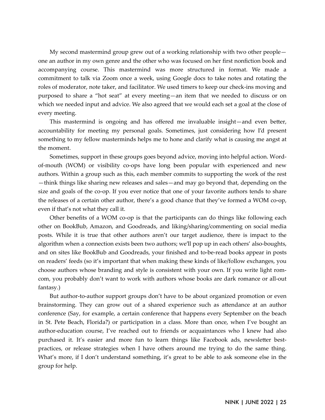My second mastermind group grew out of a working relationship with two other people one an author in my own genre and the other who was focused on her first nonfiction book and accompanying course. This mastermind was more structured in format. We made a commitment to talk via Zoom once a week, using Google docs to take notes and rotating the roles of moderator, note taker, and facilitator. We used timers to keep our check-ins moving and purposed to share a "hot seat" at every meeting—an item that we needed to discuss or on which we needed input and advice. We also agreed that we would each set a goal at the close of every meeting.

This mastermind is ongoing and has offered me invaluable insight—and even better, accountability for meeting my personal goals. Sometimes, just considering how I'd present something to my fellow masterminds helps me to hone and clarify what is causing me angst at the moment.

Sometimes, support in these groups goes beyond advice, moving into helpful action. Wordof-mouth (WOM) or visibility co-ops have long been popular with experienced and new authors. Within a group such as this, each member commits to supporting the work of the rest —think things like sharing new releases and sales—and may go beyond that, depending on the size and goals of the co-op. If you ever notice that one of your favorite authors tends to share the releases of a certain other author, there's a good chance that they've formed a WOM co-op, even if that's not what they call it.

Other benefits of a WOM co-op is that the participants can do things like following each other on BookBub, Amazon, and Goodreads, and liking/sharing/commenting on social media posts. While it is true that other authors aren't our target audience, there is impact to the algorithm when a connection exists been two authors; we'll pop up in each others' also-boughts, and on sites like BookBub and Goodreads, your finished and to-be-read books appear in posts on readers' feeds (so it's important that when making these kinds of like/follow exchanges, you choose authors whose branding and style is consistent with your own. If you write light romcom, you probably don't want to work with authors whose books are dark romance or all-out fantasy.)

But author-to-author support groups don't have to be about organized promotion or even brainstorming. They can grow out of a shared experience such as attendance at an author conference (Say, for example, a certain conference that happens every September on the beach in St. Pete Beach, Florida?) or participation in a class. More than once, when I've bought an author-education course, I've reached out to friends or acquaintances who I knew had also purchased it. It's easier and more fun to learn things like Facebook ads, newsletter bestpractices, or release strategies when I have others around me trying to do the same thing. What's more, if I don't understand something, it's great to be able to ask someone else in the group for help.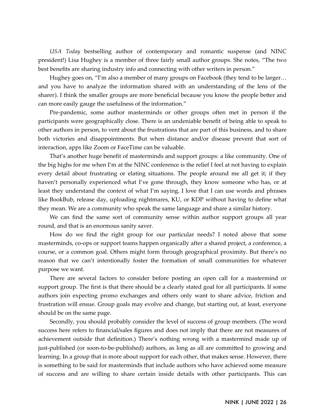*USA Today* bestselling author of contemporary and romantic suspense (and NINC president!) Lisa Hughey is a member of three fairly small author groups. She notes, "The two best benefits are sharing industry info and connecting with other writers in person."

Hughey goes on, "I'm also a member of many groups on Facebook (they tend to be larger… and you have to analyze the information shared with an understanding of the lens of the sharer). I think the smaller groups are more beneficial because you know the people better and can more easily gauge the usefulness of the information."

Pre-pandemic, some author masterminds or other groups often met in person if the participants were geographically close. There is an undeniable benefit of being able to speak to other authors in person, to vent about the frustrations that are part of this business, and to share both victories and disappointments. But when distance and/or disease prevent that sort of interaction, apps like Zoom or FaceTime can be valuable.

That's another huge benefit of masterminds and support groups: a like community. One of the big highs for me when I'm at the NINC conference is the relief I feel at not having to explain every detail about frustrating or elating situations. The people around me all get it; if they haven't personally experienced what I've gone through, they know someone who has, or at least they understand the context of what I'm saying. I love that I can use words and phrases like BookBub, release day, uploading nightmares, KU, or KDP without having to define what they mean. We are a community who speak the same language and share a similar history.

We can find the same sort of community sense within author support groups all year round, and that is an enormous sanity saver.

How do we find the right group for our particular needs? I noted above that some masterminds, co-ops or support teams happen organically after a shared project, a conference, a course, or a common goal. Others might form through geographical proximity. But there's no reason that we can't intentionally foster the formation of small communities for whatever purpose we want.

There are several factors to consider before posting an open call for a mastermind or support group. The first is that there should be a clearly stated goal for all participants. If some authors join expecting promo exchanges and others only want to share advice, friction and frustration will ensue. Group goals may evolve and change, but starting out, at least, everyone should be on the same page.

Secondly, you should probably consider the level of success of group members. (The word success here refers to financial/sales figures and does not imply that there are not measures of achievement outside that definition.) There's nothing wrong with a mastermind made up of just-published (or soon-to-be-published) authors, as long as all are committed to growing and learning. In a group that is more about support for each other, that makes sense. However, there is something to be said for masterminds that include authors who have achieved some measure of success and are willing to share certain inside details with other participants. This can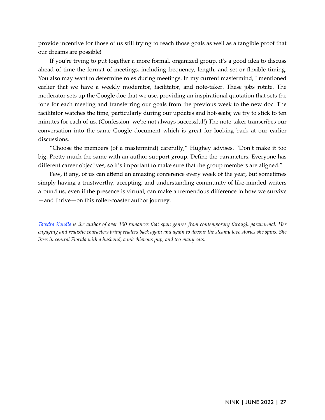provide incentive for those of us still trying to reach those goals as well as a tangible proof that our dreams are possible!

If you're trying to put together a more formal, organized group, it's a good idea to discuss ahead of time the format of meetings, including frequency, length, and set or flexible timing. You also may want to determine roles during meetings. In my current mastermind, I mentioned earlier that we have a weekly moderator, facilitator, and note-taker. These jobs rotate. The moderator sets up the Google doc that we use, providing an inspirational quotation that sets the tone for each meeting and transferring our goals from the previous week to the new doc. The facilitator watches the time, particularly during our updates and hot-seats; we try to stick to ten minutes for each of us. (Confession: we're not always successful!) The note-taker transcribes our conversation into the same Google document which is great for looking back at our earlier discussions.

"Choose the members (of a mastermind) carefully," Hughey advises. "Don't make it too big. Pretty much the same with an author support group. Define the parameters. Everyone has different career objectives, so it's important to make sure that the group members are aligned."

Few, if any, of us can attend an amazing conference every week of the year, but sometimes simply having a trustworthy, accepting, and understanding community of like-minded writers around us, even if the presence is virtual, can make a tremendous difference in how we survive —and thrive—on this roller-coaster author journey.

*\_\_\_\_\_\_\_\_\_\_\_\_\_\_\_\_\_\_\_\_\_\_\_\_*

*[Tawdra Kandle](http://tawdrakandle.com/) is the author of over 100 romances that span genres from contemporary through paranormal. Her engaging and realistic characters bring readers back again and again to devour the steamy love stories she spins. She lives in central Florida with a husband, a mischievous pup, and too many cats.*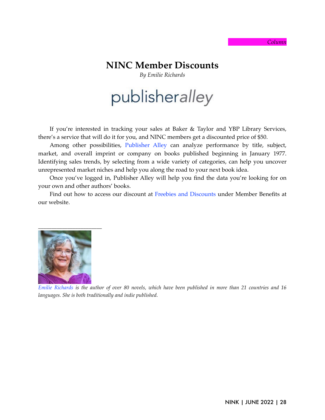#### *Column*

# **NINC Member Discounts**

*By Emilie Richards*

# publisheralley

If you're interested in tracking your sales at Baker & Taylor and YBP Library Services, there's a service that will do it for you, and NINC members get a discounted price of \$50.

Among other possibilities, [Publisher Alley](https://publisheralley.com/pages/PubAlleyLogin.aspx) can analyze performance by title, subject, market, and overall imprint or company on books published beginning in January 1977. Identifying sales trends, by selecting from a wide variety of categories, can help you uncover unrepresented market niches and help you along the road to your next book idea.

Once you've logged in, Publisher Alley will help you find the data you're looking for on your own and other authors' books.

Find out how to access our discount at [Freebies and Discounts](https://ninc.com/members-dashboard/member-benefits/member-freebies-discounts/) under Member Benefits at our website.



*[Emilie Richards](https://emilierichards.com/) is the author of over 80 novels, which have been published in more than 21 countries and 16 languages. She is both traditionally and indie published.*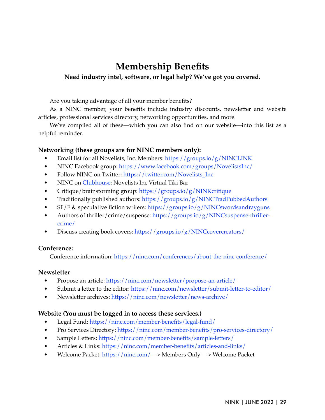# **Membership Benefits**

# **Need industry intel, software, or legal help? We've got you covered.**

Are you taking advantage of all your member benefits?

As a NINC member, your benefits include industry discounts, newsletter and website articles, professional services directory, networking opportunities, and more.

We've compiled all of these—which you can also find on our website—into this list as a helpful reminder.

# **Networking (these groups are for NINC members only):**

- Email list for all Novelists, Inc. Members:<https://groups.io/g/NINCLINK>
- NINC Facebook group:<https://www.facebook.com/groups/NovelistsInc/>
- Follow NINC on Twitter: [https://twitter.com/Novelists\\_Inc](https://twitter.com/Novelists_Inc)
- NINC on [Clubhouse](https://www.clubhouse.com/): Novelists Inc Virtual Tiki Bar
- Critique/brainstorming group:<https://groups.io/g/NINKcritique>
- Traditionally published authors: <https://groups.io/g/NINCTradPubbedAuthors>
- $\frac{S}{F}$  & speculative fiction writers:<https://groups.io/g/NINCswordsandrayguns>
- Authors of thriller/crime/suspense: [https://groups.io/g/NINCsuspense-thriller](https://groups.io/g/NINCcovercreators/)[crime/](https://groups.io/g/NINCcovercreators/)
- Discuss creating book covers: <https://groups.io/g/NINCcovercreators/>

# **Conference:**

Conference information: <https://ninc.com/conferences/about-the-ninc-conference/>

# **Newsletter**

- Propose an article:<https://ninc.com/newsletter/propose-an-article/>
- Submit a letter to the editor: <https://ninc.com/newsletter/submit-letter-to-editor/>
- Newsletter archives:<https://ninc.com/newsletter/news-archive/>

# **Website (You must be logged in to access these services.)**

- Legal Fund: <https://ninc.com/member-benefits/legal-fund/>
- Pro Services Directory:<https://ninc.com/member-benefits/pro-services-directory/>
- Sample Letters: <https://ninc.com/member-benefits/sample-letters/>
- Articles & Links:<https://ninc.com/member-benefits/articles-and-links/>
- Welcome Packet: [https://ninc.com/—](https://ninc.com/%E2%80%94)> Members Only —> Welcome Packet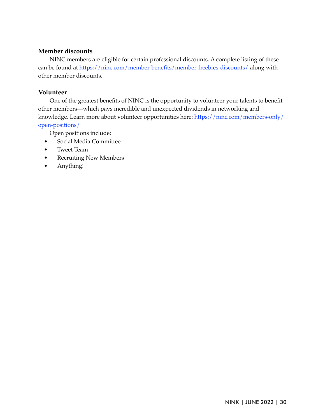# **Member discounts**

NINC members are eligible for certain professional discounts. A complete listing of these can be found at <https://ninc.com/member-benefits/member-freebies-discounts/> along with other member discounts.

# **Volunteer**

One of the greatest benefits of NINC is the opportunity to volunteer your talents to benefit other members—which pays incredible and unexpected dividends in networking and knowledge. Learn more about volunteer opportunities here: [https://ninc.com/members-only/](https://ninc.com/members-only/open-positions/) [open-positions/](https://ninc.com/members-only/open-positions/)

Open positions include:

- Social Media Committee
- Tweet Team
- Recruiting New Members
- Anything!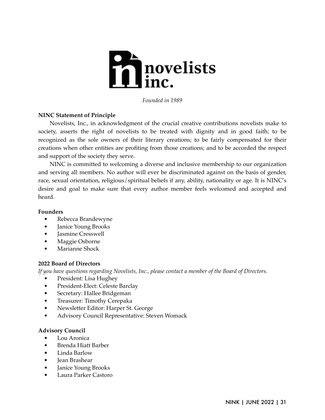

*Founded in 1989*

# **NINC Statement of Principle**

Novelists, Inc., in acknowledgment of the crucial creative contributions novelists make to society, asserts the right of novelists to be treated with dignity and in good faith; to be recognized as the sole owners of their literary creations; to be fairly compensated for their creations when other entities are profiting from those creations; and to be accorded the respect and support of the society they serve.

NINC is committed to welcoming a diverse and inclusive membership to our organization and serving all members. No author will ever be discriminated against on the basis of gender, race, sexual orientation, religious/spiritual beliefs if any, ability, nationality or age. It is NINC's desire and goal to make sure that every author member feels welcomed and accepted and heard.

#### **Founders**

- Rebecca Brandewyne
- Janice Young Brooks
- Jasmine Cresswell
- Maggie Osborne
- Marianne Shock

# **2022 Board of Directors**

*If you have questions regarding Novelists, Inc., please contact a member of the Board of Directors.*

- President: Lisa Hughey
- President-Elect: Celeste Barclay
- Secretary: Hallee Bridgeman
- Treasurer: Timothy Cerepaka
- Newsletter Editor: Harper St. George
- Advisory Council Representative: Steven Womack

#### **Advisory Council**

- Lou Aronica
- Brenda Hiatt Barber
- Linda Barlow
- Jean Brashear
- Janice Young Brooks
- Laura Parker Castoro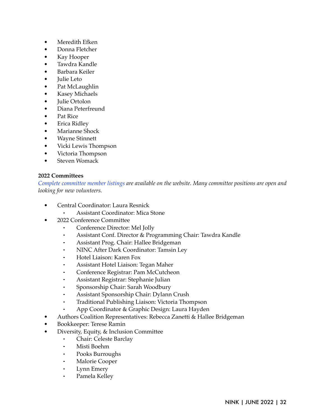- Meredith Efken
- Donna Fletcher
- Kay Hooper
- Tawdra Kandle
- Barbara Keiler
- Julie Leto
- Pat McLaughlin
- Kasey Michaels
- Julie Ortolon
- Diana Peterfreund
- Pat Rice
- Erica Ridley
- Marianne Shock
- Wayne Stinnett
- Vicki Lewis Thompson
- Victoria Thompson
- Steven Womack

# **2022 Committees**

*[Complete committee member listings](https://ninc.com/about-ninc/ninc-committees/) are available on the website. Many committee positions are open and looking for new volunteers.*

- Central Coordinator: Laura Resnick
	- Assistant Coordinator: Mica Stone
- 2022 Conference Committee
	- ⁃ Conference Director: Mel Jolly
	- Assistant Conf. Director & Programming Chair: Tawdra Kandle
	- Assistant Prog. Chair: Hallee Bridgeman
	- NINC After Dark Coordinator: Tamsin Ley
	- ⁃ Hotel Liaison: Karen Fox
	- ⁃ Assistant Hotel Liaison: Tegan Maher
	- ⁃ Conference Registrar: Pam McCutcheon
	- ⁃ Assistant Registrar: Stephanie Julian
	- ⁃ Sponsorship Chair: Sarah Woodbury
	- ⁃ Assistant Sponsorship Chair: Dylann Crush
	- ⁃ Traditional Publishing Liaison: Victoria Thompson
	- App Coordinator & Graphic Design: Laura Hayden
- Authors Coalition Representatives: Rebecca Zanetti & Hallee Bridgeman
- Bookkeeper: Terese Ramin
- Diversity, Equity, & Inclusion Committee
	- Chair: Celeste Barclay
	- ⁃ Misti Boehm
	- ⁃ Pooks Burroughs
	- **Malorie Cooper**
	- Lynn Emery
	- Pamela Kelley